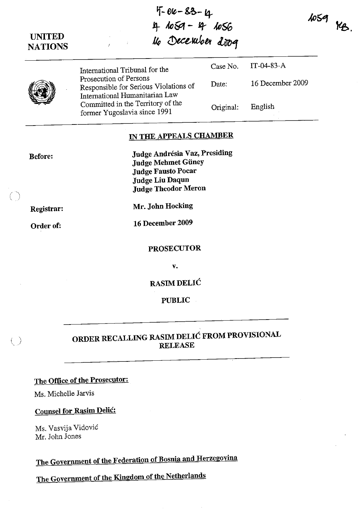| <b>UNITED</b><br><b>NATIONS</b> | 4-010-83-4<br>4 hosa - 4 hos6<br>16 December doog                                                 |           |                  |
|---------------------------------|---------------------------------------------------------------------------------------------------|-----------|------------------|
|                                 | International Tribunal for the                                                                    | Case No.  | $IT-04-83-A$     |
|                                 | Prosecution of Persons<br>Responsible for Serious Violations of<br>International Humanitarian Law | Date:     | 16 December 2009 |
|                                 | Committed in the Territory of the<br>former Yugoslavia since 1991                                 | Original: | English          |
|                                 | IN THE APPEALS CHAMBER                                                                            |           |                  |
| <b>Before:</b>                  | Judge Andrésia Vaz, Presiding<br><b>Judge Mehmet Güney</b><br><b>Judge Fausto Pocar</b>           |           |                  |

Registrar:

Order of:

 $( )$ 

Mr. John Hocking

Judge Liu Daqun Judge Theodor Meron

16 December 2009

#### PROSECUTOR

v.

RASIM DELIĆ

PUBLIC

### ORDER RECALLING RASIM DELlC FROM PROVISIONAL RELEASE

#### The Office of the Prosecutor:

Ms. Michelle Jarvis

#### Counsel for Rasim Delic:

Ms. Vasvija Vidovic Mr. John Jones

# The Government of the Federation of Bosnia and Herzegovina

The Government of the Kingdom of the Netherlands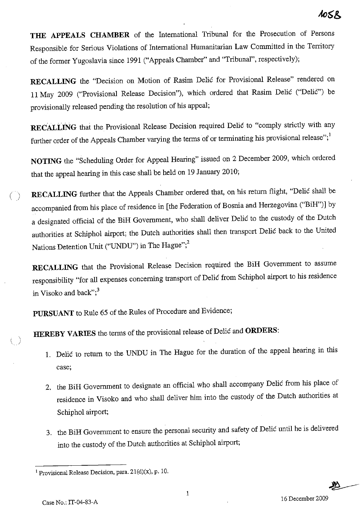**THE APPEALS CHAMBER** of the International Tribunal for the Prosecution of Persons Responsible for Serious Violations of International Humanitarian Law Committed in the Territory of the former Yugoslavia since 1991 ("Appeals Chamber" and "Tribunal", respectively);

**RECALLING** the "Decision on Motion of Rasim Delic for Provisional Release" rendered on 11 May 2009 ("Provisional Release Decision"), which ordered that Rasim Delic ("Delic") be provisionally released pending the resolution of his appeal;

**RECALLING** that the Provisional Release Decision required Delic to "comply strictly with any further order of the Appeals Chamber varying the terms of or terminating his provisional release";<sup>1</sup>

**NOTING** the "Scheduling Order for Appeal Hearing" issued on 2 December 2009, which ordered that the appeal hearing in this case shall be held on 19 January 2010;

(C) **RECALLING** further that the Appeals Chamber ordered that, on his return flight, "Delic shall be accompanied from his place of residence in [the Federation of Bosnia and Herzegovina (''BiH'')] by a designated official of the BiH Government, who shall deliver Delic to the custody of the Dutch authorities at Schiphol airport; the Dutch authorities shall then transport Delic back to the United Nations Detention Unit ("UNDU") in The Hague";<sup>2</sup>

**RECALLING** that the Provisional Release Decision required the **BiH** Government to assume responsibility "for all expenses concerning transport of Delic from Schiphol airport to his residence in Visoko and back";<sup>3</sup>

**PURSUANT** to Rule 65 of the Rules of Procedure and Evidence;

**HEREBY V ARIES** the terms of the provisional rekase of Delic and **ORDERS:** 

- 1. Delic to return to the UNDU in The Hague for the duration of the appeal hearing in this **case;**
- 2. the BiH Government to designate an official who shall accompany Delic from his place of residence in Visoko and who shall deliver him into the custody of the Dutch authorities at Schiphol airport;
- 3. the BiH Government to ensure the personal security and safety of Delic until he is delivered into the custody of the Dutch authorities at Schiphol airport;

 $\overline{\phantom{0}}$ 

♨

<sup>&</sup>lt;sup>1</sup> Provisional Release Decision, para.  $21(d)(x)$ , p. 10.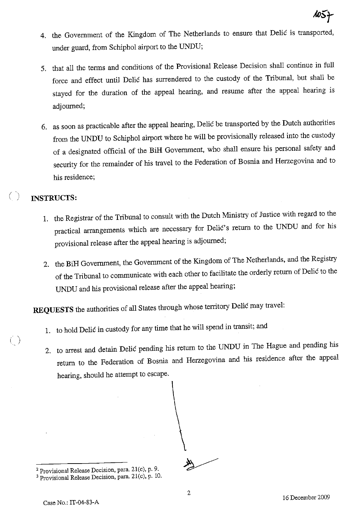- 4. the Government of the Kingdom of The Netherlands to ensure that Delic is transported, under guard, from Schiphol airport to the UNDU;
- 5. that all the terms and conditions of the Provisional Release Decision shall continue in full force and effect until Delić has surrendered to the custody of the Tribunal, but shall be stayed for the duration of the appeal hearing, and resume after the appeal hearing is adjourned;
- 6. as soon as practicable after the appeal hearing, Delie be transported by the Dutch authorities from the UNDU to Schiphol airport where he will be provisionally released into the custody of a designated official of the **BiH** Government, who shall ensure his personal safety and security for the remainder of his travel to the Federation of Bosnia and Herzegovina and to his residence;

## () **INSTRUCTS:**

)

- 1. the Registrar of the Tribunal to consult with the Dutch Ministry of Justice with regard to the practical arrangements which are necessary for Delic's return to the UNDU and for his provisional release after the appeal hearing is adjourned;
- 2. the **BiH** Government, the Government of the Kingdom of The Netherlands, and the Registry of the Tribunal to communicate with each other to facilitate the orderly return of Delić to the UNDU and his provisional release after the appeal hearing;

**REQUESTS** the authorities of all States through whose territory Delic may travel:

- 1. to hold Delic in custody for any time that he will spend in transit; and
- 2. to arrest and detain Delic pending his return to the UNDU in The Hague and pending his return to the Federation of Bosnia and Herzegovina and his residence after the appeal hearing, should he attempt to escape.

<sup>&</sup>lt;sup>2</sup> Provisional Release Decision, para. 21(c), p. 9.

 $3$  Provisional Release Decision, para. 21(c), p. 10.